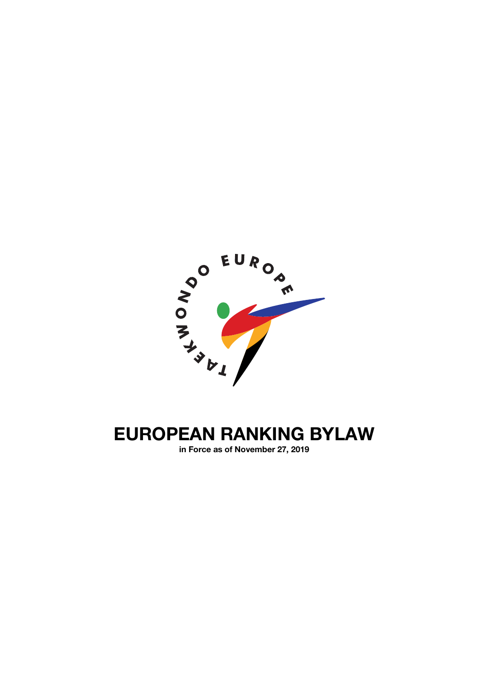

# **EUROPEAN RANKING BYLAW**

**in Force as of November 27, 2019**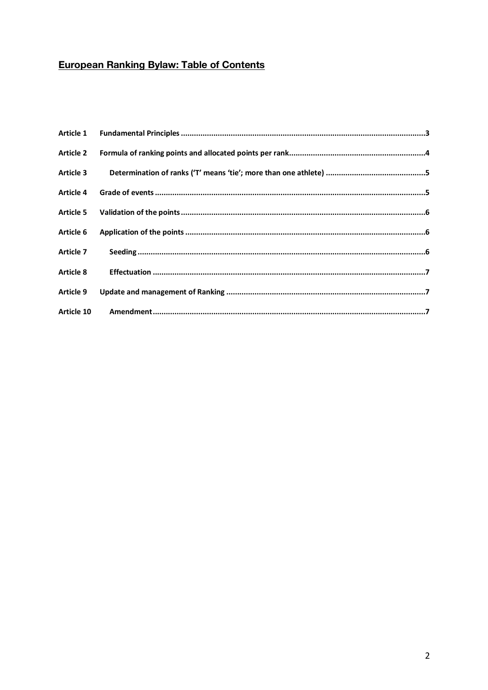# **European Ranking Bylaw: Table of Contents**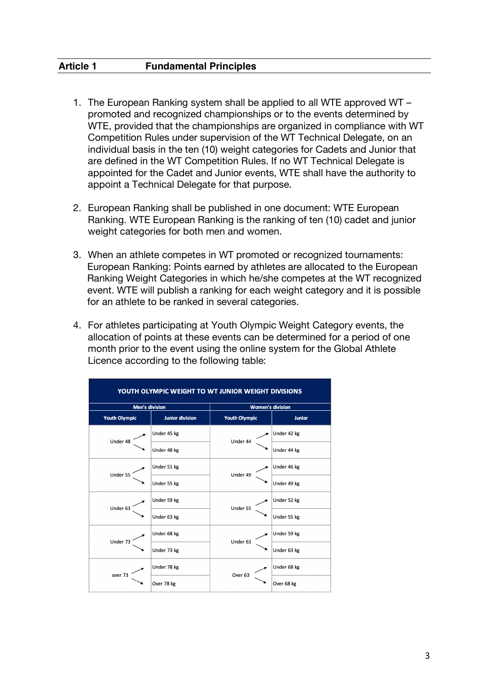- 1. The European Ranking system shall be applied to all WTE approved WT promoted and recognized championships or to the events determined by WTE, provided that the championships are organized in compliance with WT Competition Rules under supervision of the WT Technical Delegate, on an individual basis in the ten (10) weight categories for Cadets and Junior that are defined in the WT Competition Rules. If no WT Technical Delegate is appointed for the Cadet and Junior events, WTE shall have the authority to appoint a Technical Delegate for that purpose.
- 2. European Ranking shall be published in one document: WTE European Ranking. WTE European Ranking is the ranking of ten (10) cadet and junior weight categories for both men and women.
- 3. When an athlete competes in WT promoted or recognized tournaments: European Ranking: Points earned by athletes are allocated to the European Ranking Weight Categories in which he/she competes at the WT recognized event. WTE will publish a ranking for each weight category and it is possible for an athlete to be ranked in several categories.
- 4. For athletes participating at Youth Olympic Weight Category events, the allocation of points at these events can be determined for a period of one month prior to the event using the online system for the Global Athlete Licence according to the following table:

| YOUTH OLYMPIC WEIGHT TO WT JUNIOR WEIGHT DIVISIONS |                        |                         |               |  |
|----------------------------------------------------|------------------------|-------------------------|---------------|--|
|                                                    | <b>Men's division</b>  | <b>Women's division</b> |               |  |
| <b>Youth Olympic</b>                               | <b>Junior division</b> | <b>Youth Olympic</b>    | <b>Junior</b> |  |
| Under 48                                           | Under 45 kg            | Under 44                | Under 42 kg   |  |
|                                                    | Under 48 kg            |                         | Under 44 kg   |  |
| Under 55                                           | Under 51 kg            | Under 49                | Under 46 kg   |  |
|                                                    | Under 55 kg            |                         | Under 49 kg   |  |
| Under 63                                           | Under 59 kg            | Under 55                | Under 52 kg   |  |
|                                                    | Under 63 kg            |                         | Under 55 kg   |  |
| Under 73                                           | Under 68 kg            | Under 63                | Under 59 kg   |  |
|                                                    | Under 73 kg            |                         | Under 63 kg   |  |
| over 73                                            | Under 78 kg            | Over <sub>63</sub>      | Under 68 kg   |  |
|                                                    | Over 78 kg             |                         | Over 68 kg    |  |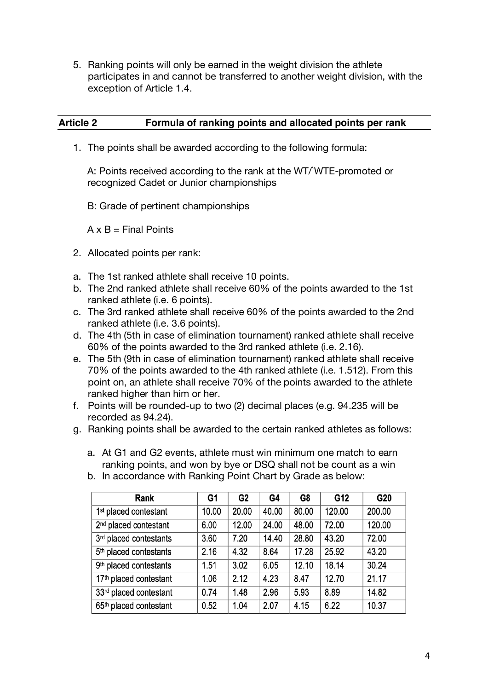5. Ranking points will only be earned in the weight division the athlete participates in and cannot be transferred to another weight division, with the exception of Article 1.4.

## **Article 2 Formula of ranking points and allocated points per rank**

1. The points shall be awarded according to the following formula:

A: Points received according to the rank at the WT/WTE-promoted or recognized Cadet or Junior championships

B: Grade of pertinent championships

 $A \times B$  = Final Points

- 2. Allocated points per rank:
- a. The 1st ranked athlete shall receive 10 points.
- b. The 2nd ranked athlete shall receive 60% of the points awarded to the 1st ranked athlete (i.e. 6 points).
- c. The 3rd ranked athlete shall receive 60% of the points awarded to the 2nd ranked athlete (i.e. 3.6 points).
- d. The 4th (5th in case of elimination tournament) ranked athlete shall receive 60% of the points awarded to the 3rd ranked athlete (i.e. 2.16).
- e. The 5th (9th in case of elimination tournament) ranked athlete shall receive 70% of the points awarded to the 4th ranked athlete (i.e. 1.512). From this point on, an athlete shall receive 70% of the points awarded to the athlete ranked higher than him or her.
- f. Points will be rounded-up to two (2) decimal places (e.g. 94.235 will be recorded as 94.24).
- g. Ranking points shall be awarded to the certain ranked athletes as follows:
	- a. At G1 and G2 events, athlete must win minimum one match to earn ranking points, and won by bye or DSQ shall not be count as a win

| Rank                               | G <sub>1</sub> | G <sub>2</sub> | G4    | G8    | G12    | G20    |
|------------------------------------|----------------|----------------|-------|-------|--------|--------|
| 1 <sup>st</sup> placed contestant  | 10.00          | 20.00          | 40.00 | 80.00 | 120.00 | 200.00 |
| 2 <sup>nd</sup> placed contestant  | 6.00           | 12.00          | 24.00 | 48.00 | 72.00  | 120.00 |
| 3rd placed contestants             | 3.60           | 7.20           | 14.40 | 28.80 | 43.20  | 72.00  |
| 5 <sup>th</sup> placed contestants | 2.16           | 4.32           | 8.64  | 17.28 | 25.92  | 43.20  |
| 9 <sup>th</sup> placed contestants | 1.51           | 3.02           | 6.05  | 12.10 | 18.14  | 30.24  |
| 17 <sup>th</sup> placed contestant | 1.06           | 2.12           | 4.23  | 8.47  | 12.70  | 21.17  |
| 33rd placed contestant             | 0.74           | 1.48           | 2.96  | 5.93  | 8.89   | 14.82  |
| 65 <sup>th</sup> placed contestant | 0.52           | 1.04           | 2.07  | 4.15  | 6.22   | 10.37  |

b. In accordance with Ranking Point Chart by Grade as below: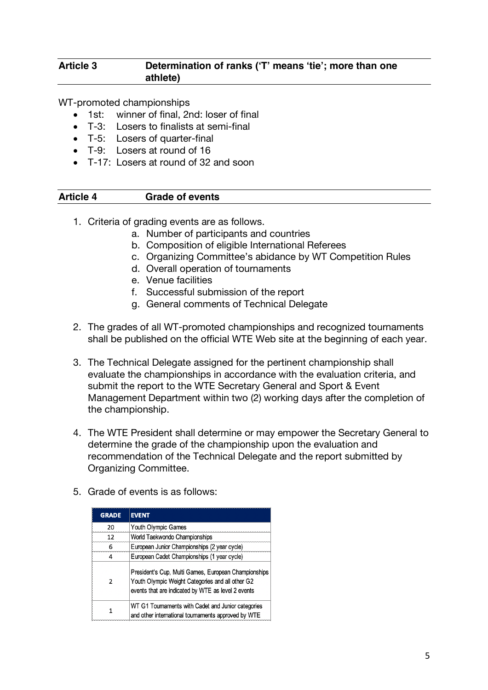### **Article 3 Determination of ranks ('T' means 'tie'; more than one athlete)**

WT-promoted championships

- 1st: winner of final, 2nd: loser of final
- T-3: Losers to finalists at semi-final
- T-5: Losers of quarter-final
- T-9: Losers at round of 16
- T-17: Losers at round of 32 and soon

#### **Article 4 Grade of events**

- 1. Criteria of grading events are as follows.
	- a. Number of participants and countries
	- b. Composition of eligible International Referees
	- c. Organizing Committee's abidance by WT Competition Rules
	- d. Overall operation of tournaments
	- e. Venue facilities
	- f. Successful submission of the report
	- g. General comments of Technical Delegate
- 2. The grades of all WT-promoted championships and recognized tournaments shall be published on the official WTE Web site at the beginning of each year.
- 3. The Technical Delegate assigned for the pertinent championship shall evaluate the championships in accordance with the evaluation criteria, and submit the report to the WTE Secretary General and Sport & Event Management Department within two (2) working days after the completion of the championship.
- 4. The WTE President shall determine or may empower the Secretary General to determine the grade of the championship upon the evaluation and recommendation of the Technical Delegate and the report submitted by Organizing Committee.

| <b>GRADE</b>  | <b>EVENT</b>                                                                                                                                                   |
|---------------|----------------------------------------------------------------------------------------------------------------------------------------------------------------|
| 20            | Youth Olympic Games                                                                                                                                            |
| 12            | World Taekwondo Championships                                                                                                                                  |
| 6             | European Junior Championships (2 year cycle)                                                                                                                   |
|               | European Cadet Championships (1 year cycle)                                                                                                                    |
| $\mathcal{P}$ | President's Cup, Multi Games, European Championships<br>Youth Olympic Weight Categories and all other G2<br>events that are indicated by WTE as level 2 events |
|               | WT G1 Tournaments with Cadet and Junior categories<br>and other international tournaments approved by WTE                                                      |

5. Grade of events is as follows: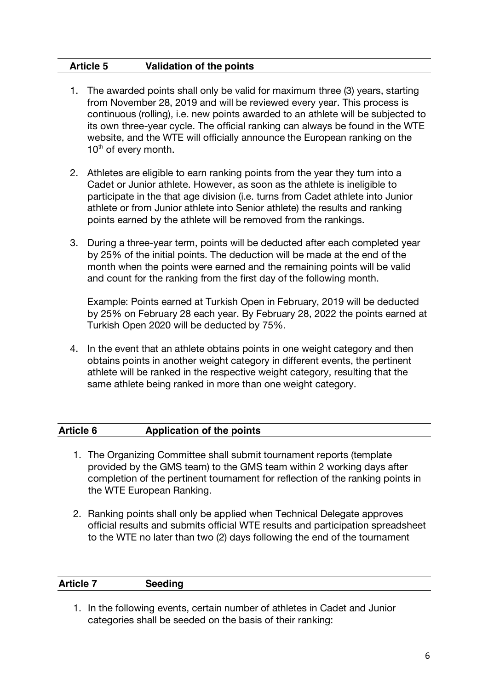### **Article 5 Validation of the points**

- 1. The awarded points shall only be valid for maximum three (3) years, starting from November 28, 2019 and will be reviewed every year. This process is continuous (rolling), i.e. new points awarded to an athlete will be subjected to its own three-year cycle. The official ranking can always be found in the WTE website, and the WTE will officially announce the European ranking on the 10<sup>th</sup> of every month.
- 2. Athletes are eligible to earn ranking points from the year they turn into a Cadet or Junior athlete. However, as soon as the athlete is ineligible to participate in the that age division (i.e. turns from Cadet athlete into Junior athlete or from Junior athlete into Senior athlete) the results and ranking points earned by the athlete will be removed from the rankings.
- 3. During a three-year term, points will be deducted after each completed year by 25% of the initial points. The deduction will be made at the end of the month when the points were earned and the remaining points will be valid and count for the ranking from the first day of the following month.

Example: Points earned at Turkish Open in February, 2019 will be deducted by 25% on February 28 each year. By February 28, 2022 the points earned at Turkish Open 2020 will be deducted by 75%.

4. In the event that an athlete obtains points in one weight category and then obtains points in another weight category in different events, the pertinent athlete will be ranked in the respective weight category, resulting that the same athlete being ranked in more than one weight category.

| <b>Article 6</b> | Application of the points |
|------------------|---------------------------|
|                  |                           |

- 1. The Organizing Committee shall submit tournament reports (template provided by the GMS team) to the GMS team within 2 working days after completion of the pertinent tournament for reflection of the ranking points in the WTE European Ranking.
- 2. Ranking points shall only be applied when Technical Delegate approves official results and submits official WTE results and participation spreadsheet to the WTE no later than two (2) days following the end of the tournament

| <b>Article 7</b> | <b>Seeding</b> |
|------------------|----------------|
|------------------|----------------|

1. In the following events, certain number of athletes in Cadet and Junior categories shall be seeded on the basis of their ranking: